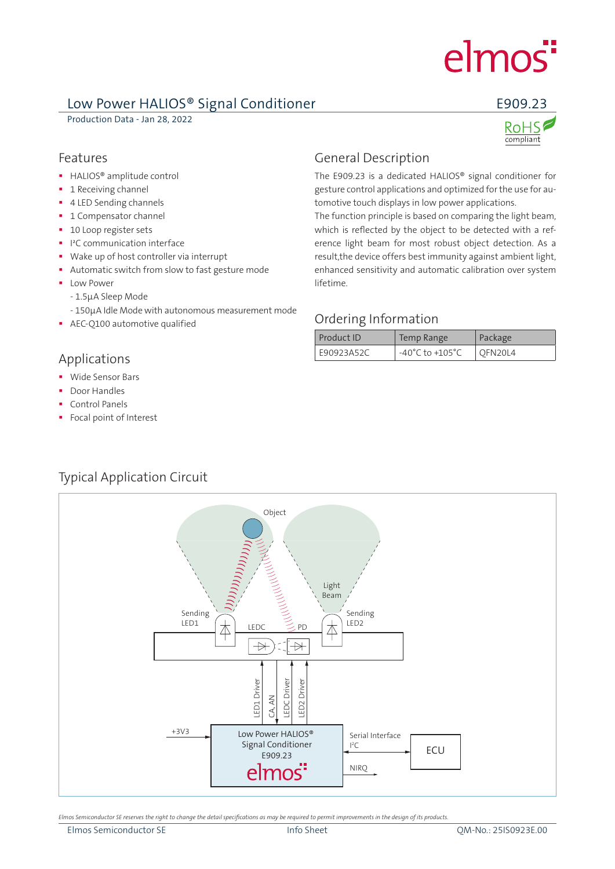# elmos<sup>"</sup>

### Low Power HALIOS® Signal Conditioner **E909.23**

Production Data - Jan 28, 2022



compliant

#### Features

- **HALIOS<sup>®</sup>** amplitude control
- **1** Receiving channel
- **4 LED Sending channels**
- **1 Compensator channel**
- **10 Loop register sets**
- **I** I<sup>2</sup>C communication interface
- Wake up of host controller via interrupt
- Automatic switch from slow to fast gesture mode
- **Low Power** 
	- 1.5µA Sleep Mode
	- 150µA Idle Mode with autonomous measurement mode
- **AEC-O100 automotive qualified**

#### Applications

- **Wide Sensor Bars**
- **Door Handles**
- Control Panels
- Focal point of Interest

## General Description

The E909.23 is a dedicated HALIOS® signal conditioner for gesture control applications and optimized for the use for automotive touch displays in low power applications.

The function principle is based on comparing the light beam, which is reflected by the object to be detected with a reference light beam for most robust object detection. As a result,the device offers best immunity against ambient light, enhanced sensitivity and automatic calibration over system lifetime.

#### Ordering Information

| Product ID | Temp Range                          | Package        |
|------------|-------------------------------------|----------------|
| E90923A52C | $-40^{\circ}$ C to $+105^{\circ}$ C | <b>OFN20L4</b> |



*Elmos Semiconductor SE reserves the right to change the detail specifications as may be required to permit improvements in the design of its products.*